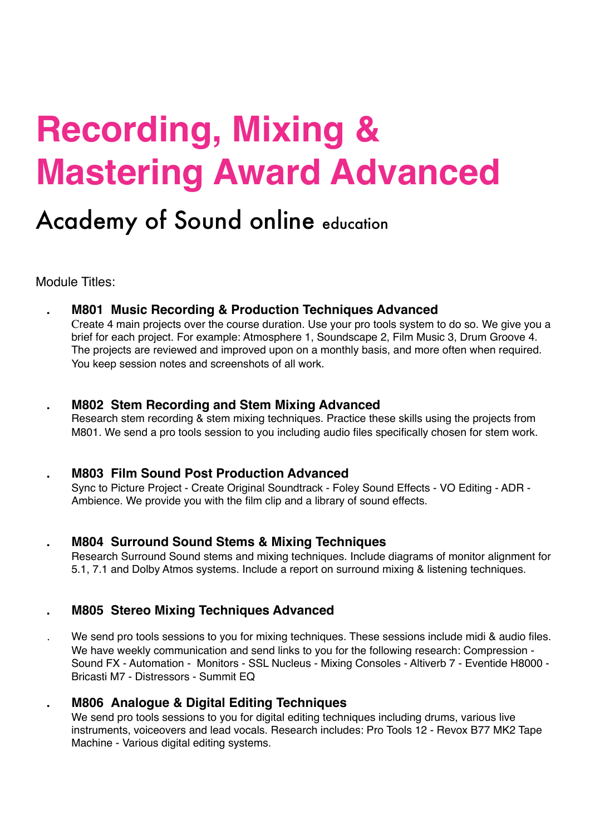# **Recording, Mixing & Mastering Award Advanced**

## Academy of Sound online education

Module Titles:

**. M801 Music Recording & Production Techniques Advanced** 

Create 4 main projects over the course duration. Use your pro tools system to do so. We give you a brief for each project. For example: Atmosphere 1, Soundscape 2, Film Music 3, Drum Groove 4. The projects are reviewed and improved upon on a monthly basis, and more often when required. You keep session notes and screenshots of all work.

#### **. M802 Stem Recording and Stem Mixing Advanced**

Research stem recording & stem mixing techniques. Practice these skills using the projects from M801. We send a pro tools session to you including audio files specifically chosen for stem work.

#### **. M803 Film Sound Post Production Advanced**

Sync to Picture Project - Create Original Soundtrack - Foley Sound Effects - VO Editing - ADR - Ambience. We provide you with the film clip and a library of sound effects.

**. M804 Surround Sound Stems & Mixing Techniques** 

Research Surround Sound stems and mixing techniques. Include diagrams of monitor alignment for 5.1, 7.1 and Dolby Atmos systems. Include a report on surround mixing & listening techniques.

### **. M805 Stereo Mixing Techniques Advanced**

. We send pro tools sessions to you for mixing techniques. These sessions include midi & audio files. We have weekly communication and send links to you for the following research: Compression - Sound FX - Automation - Monitors - SSL Nucleus - Mixing Consoles - Altiverb 7 - Eventide H8000 - Bricasti M7 - Distressors - Summit EQ

#### **. M806 Analogue & Digital Editing Techniques**

We send pro tools sessions to you for digital editing techniques including drums, various live instruments, voiceovers and lead vocals. Research includes: Pro Tools 12 - Revox B77 MK2 Tape Machine - Various digital editing systems.